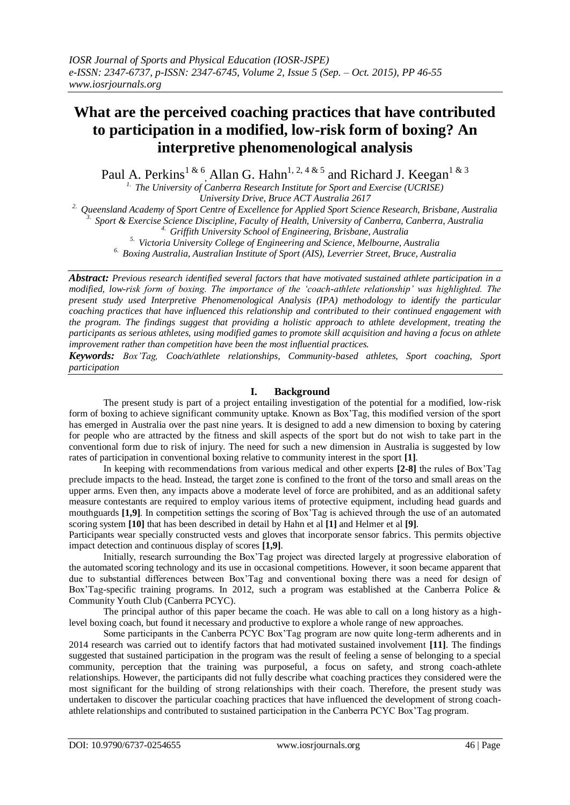# **What are the perceived coaching practices that have contributed to participation in a modified, low-risk form of boxing? An interpretive phenomenological analysis**

Paul A. Perkins<sup>1 & 6</sup>, Allan G. Hahn<sup>1, 2, 4 & 5</sup> and Richard J. Keegan<sup>1 & 3</sup>

*1. The University of Canberra Research Institute for Sport and Exercise (UCRISE) University Drive, Bruce ACT Australia 2617*

*2. Queensland Academy of Sport Centre of Excellence for Applied Sport Science Research, Brisbane, Australia 3. Sport & Exercise Science Discipline, Faculty of Health, University of Canberra, Canberra, Australia*

*4. Griffith University School of Engineering, Brisbane, Australia*

*5. Victoria University College of Engineering and Science, Melbourne, Australia*

*6. Boxing Australia, Australian Institute of Sport (AIS), Leverrier Street, Bruce, Australia*

*Abstract: Previous research identified several factors that have motivated sustained athlete participation in a modified, low-risk form of boxing. The importance of the 'coach-athlete relationship' was highlighted. The present study used Interpretive Phenomenological Analysis (IPA) methodology to identify the particular coaching practices that have influenced this relationship and contributed to their continued engagement with the program. The findings suggest that providing a holistic approach to athlete development, treating the participants as serious athletes, using modified games to promote skill acquisition and having a focus on athlete improvement rather than competition have been the most influential practices.* 

*Keywords: Box'Tag, Coach/athlete relationships, Community-based athletes, Sport coaching, Sport participation*

# **I. Background**

The present study is part of a project entailing investigation of the potential for a modified, low-risk form of boxing to achieve significant community uptake. Known as Box'Tag, this modified version of the sport has emerged in Australia over the past nine years. It is designed to add a new dimension to boxing by catering for people who are attracted by the fitness and skill aspects of the sport but do not wish to take part in the conventional form due to risk of injury. The need for such a new dimension in Australia is suggested by low rates of participation in conventional boxing relative to community interest in the sport **[1]**.

 In keeping with recommendations from various medical and other experts **[2-8]** the rules of Box'Tag preclude impacts to the head. Instead, the target zone is confined to the front of the torso and small areas on the upper arms. Even then, any impacts above a moderate level of force are prohibited, and as an additional safety measure contestants are required to employ various items of protective equipment, including head guards and mouthguards **[1,9]**. In competition settings the scoring of Box'Tag is achieved through the use of an automated scoring system **[10]** that has been described in detail by Hahn et al **[1]** and Helmer et al **[9]**.

Participants wear specially constructed vests and gloves that incorporate sensor fabrics. This permits objective impact detection and continuous display of scores **[1,9]**.

 Initially, research surrounding the Box'Tag project was directed largely at progressive elaboration of the automated scoring technology and its use in occasional competitions. However, it soon became apparent that due to substantial differences between Box'Tag and conventional boxing there was a need for design of Box'Tag-specific training programs. In 2012, such a program was established at the Canberra Police & Community Youth Club (Canberra PCYC).

The principal author of this paper became the coach. He was able to call on a long history as a highlevel boxing coach, but found it necessary and productive to explore a whole range of new approaches.

 Some participants in the Canberra PCYC Box'Tag program are now quite long-term adherents and in 2014 research was carried out to identify factors that had motivated sustained involvement **[11]**. The findings suggested that sustained participation in the program was the result of feeling a sense of belonging to a special community, perception that the training was purposeful, a focus on safety, and strong coach-athlete relationships. However, the participants did not fully describe what coaching practices they considered were the most significant for the building of strong relationships with their coach. Therefore, the present study was undertaken to discover the particular coaching practices that have influenced the development of strong coachathlete relationships and contributed to sustained participation in the Canberra PCYC Box'Tag program.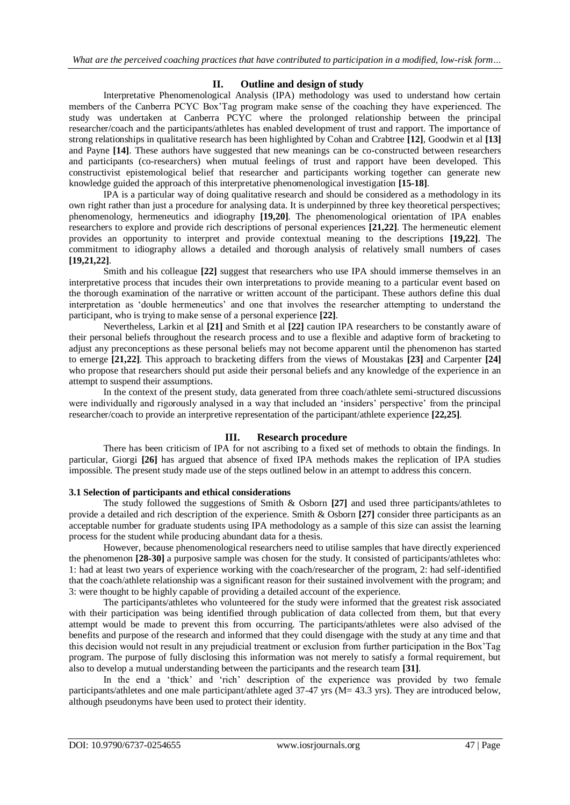# **II. Outline and design of study**

Interpretative Phenomenological Analysis (IPA) methodology was used to understand how certain members of the Canberra PCYC Box'Tag program make sense of the coaching they have experienced. The study was undertaken at Canberra PCYC where the prolonged relationship between the principal researcher/coach and the participants/athletes has enabled development of trust and rapport. The importance of strong relationships in qualitative research has been highlighted by Cohan and Crabtree **[12]**, Goodwin et al **[13]** and Payne **[14]**. These authors have suggested that new meanings can be co-constructed between researchers and participants (co-researchers) when mutual feelings of trust and rapport have been developed. This constructivist epistemological belief that researcher and participants working together can generate new knowledge guided the approach of this interpretative phenomenological investigation **[15-18]**.

 IPA is a particular way of doing qualitative research and should be considered as a methodology in its own right rather than just a procedure for analysing data. It is underpinned by three key theoretical perspectives; phenomenology, hermeneutics and idiography **[19,20]**. The phenomenological orientation of IPA enables researchers to explore and provide rich descriptions of personal experiences **[21,22]**. The hermeneutic element provides an opportunity to interpret and provide contextual meaning to the descriptions **[19,22]**. The commitment to idiography allows a detailed and thorough analysis of relatively small numbers of cases **[19,21,22]**.

Smith and his colleague **[22]** suggest that researchers who use IPA should immerse themselves in an interpretative process that incudes their own interpretations to provide meaning to a particular event based on the thorough examination of the narrative or written account of the participant. These authors define this dual interpretation as 'double hermeneutics' and one that involves the researcher attempting to understand the participant, who is trying to make sense of a personal experience **[22]**.

 Nevertheless, Larkin et al **[21]** and Smith et al **[22]** caution IPA researchers to be constantly aware of their personal beliefs throughout the research process and to use a flexible and adaptive form of bracketing to adjust any preconceptions as these personal beliefs may not become apparent until the phenomenon has started to emerge **[21,22]**. This approach to bracketing differs from the views of Moustakas **[23]** and Carpenter **[24]** who propose that researchers should put aside their personal beliefs and any knowledge of the experience in an attempt to suspend their assumptions.

 In the context of the present study, data generated from three coach/athlete semi-structured discussions were individually and rigorously analysed in a way that included an 'insiders' perspective' from the principal researcher/coach to provide an interpretive representation of the participant/athlete experience **[22,25]**.

# **III. Research procedure**

There has been criticism of IPA for not ascribing to a fixed set of methods to obtain the findings. In particular, Giorgi **[26]** has argued that absence of fixed IPA methods makes the replication of IPA studies impossible. The present study made use of the steps outlined below in an attempt to address this concern.

#### **3.1 Selection of participants and ethical considerations**

The study followed the suggestions of Smith & Osborn **[27]** and used three participants/athletes to provide a detailed and rich description of the experience. Smith & Osborn **[27]** consider three participants as an acceptable number for graduate students using IPA methodology as a sample of this size can assist the learning process for the student while producing abundant data for a thesis.

 However, because phenomenological researchers need to utilise samples that have directly experienced the phenomenon **[28-30]** a purposive sample was chosen for the study. It consisted of participants/athletes who: 1: had at least two years of experience working with the coach/researcher of the program, 2: had self-identified that the coach/athlete relationship was a significant reason for their sustained involvement with the program; and 3: were thought to be highly capable of providing a detailed account of the experience.

 The participants/athletes who volunteered for the study were informed that the greatest risk associated with their participation was being identified through publication of data collected from them, but that every attempt would be made to prevent this from occurring. The participants/athletes were also advised of the benefits and purpose of the research and informed that they could disengage with the study at any time and that this decision would not result in any prejudicial treatment or exclusion from further participation in the Box'Tag program. The purpose of fully disclosing this information was not merely to satisfy a formal requirement, but also to develop a mutual understanding between the participants and the research team **[31]**.

 In the end a 'thick' and 'rich' description of the experience was provided by two female participants/athletes and one male participant/athlete aged 37-47 yrs (M= 43.3 yrs). They are introduced below, although pseudonyms have been used to protect their identity.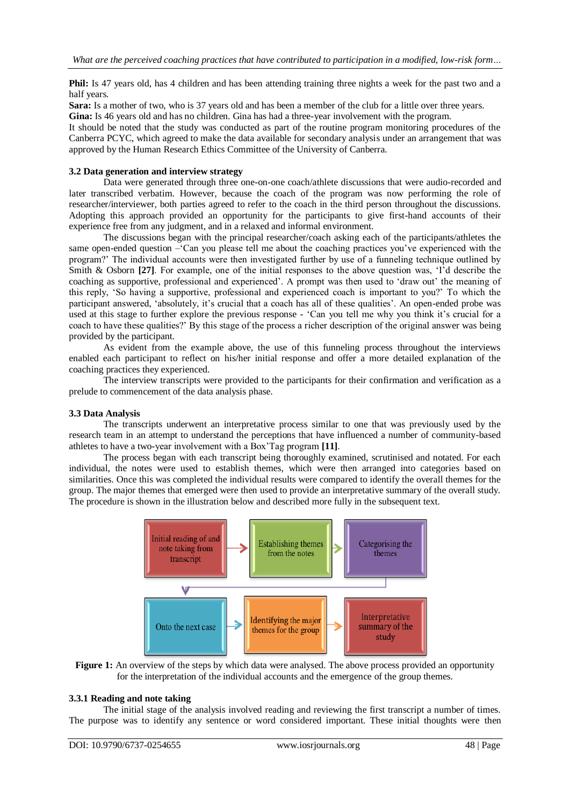**Phil:** Is 47 years old, has 4 children and has been attending training three nights a week for the past two and a half years.

**Sara:** Is a mother of two, who is 37 years old and has been a member of the club for a little over three years. **Gina:** Is 46 years old and has no children. Gina has had a three-year involvement with the program.

It should be noted that the study was conducted as part of the routine program monitoring procedures of the

Canberra PCYC, which agreed to make the data available for secondary analysis under an arrangement that was approved by the Human Research Ethics Committee of the University of Canberra.

## **3.2 Data generation and interview strategy**

Data were generated through three one-on-one coach/athlete discussions that were audio-recorded and later transcribed verbatim. However, because the coach of the program was now performing the role of researcher/interviewer, both parties agreed to refer to the coach in the third person throughout the discussions. Adopting this approach provided an opportunity for the participants to give first-hand accounts of their experience free from any judgment, and in a relaxed and informal environment.

 The discussions began with the principal researcher/coach asking each of the participants/athletes the same open-ended question –'Can you please tell me about the coaching practices you've experienced with the program?' The individual accounts were then investigated further by use of a funneling technique outlined by Smith & Osborn **[27]**. For example, one of the initial responses to the above question was, 'I'd describe the coaching as supportive, professional and experienced'. A prompt was then used to 'draw out' the meaning of this reply, 'So having a supportive, professional and experienced coach is important to you?' To which the participant answered, 'absolutely, it's crucial that a coach has all of these qualities'. An open-ended probe was used at this stage to further explore the previous response - 'Can you tell me why you think it's crucial for a coach to have these qualities?' By this stage of the process a richer description of the original answer was being provided by the participant.

 As evident from the example above, the use of this funneling process throughout the interviews enabled each participant to reflect on his/her initial response and offer a more detailed explanation of the coaching practices they experienced.

The interview transcripts were provided to the participants for their confirmation and verification as a prelude to commencement of the data analysis phase.

### **3.3 Data Analysis**

The transcripts underwent an interpretative process similar to one that was previously used by the research team in an attempt to understand the perceptions that have influenced a number of community-based athletes to have a two-year involvement with a Box'Tag program **[11]**.

 The process began with each transcript being thoroughly examined, scrutinised and notated. For each individual, the notes were used to establish themes, which were then arranged into categories based on similarities. Once this was completed the individual results were compared to identify the overall themes for the group. The major themes that emerged were then used to provide an interpretative summary of the overall study. The procedure is shown in the illustration below and described more fully in the subsequent text.



**Figure 1:** An overview of the steps by which data were analysed. The above process provided an opportunity for the interpretation of the individual accounts and the emergence of the group themes.

#### **3.3.1 Reading and note taking**

The initial stage of the analysis involved reading and reviewing the first transcript a number of times. The purpose was to identify any sentence or word considered important. These initial thoughts were then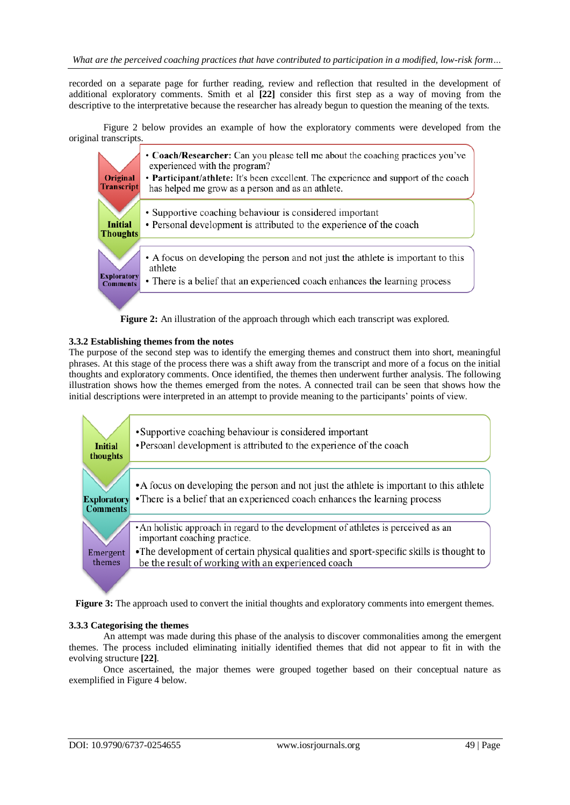recorded on a separate page for further reading, review and reflection that resulted in the development of additional exploratory comments. Smith et al **[22]** consider this first step as a way of moving from the descriptive to the interpretative because the researcher has already begun to question the meaning of the texts.

Figure 2 below provides an example of how the exploratory comments were developed from the original transcripts.



**Figure 2:** An illustration of the approach through which each transcript was explored.

## **3.3.2 Establishing themes from the notes**

The purpose of the second step was to identify the emerging themes and construct them into short, meaningful phrases. At this stage of the process there was a shift away from the transcript and more of a focus on the initial thoughts and exploratory comments. Once identified, the themes then underwent further analysis. The following illustration shows how the themes emerged from the notes. A connected trail can be seen that shows how the initial descriptions were interpreted in an attempt to provide meaning to the participants' points of view.



**Figure 3:** The approach used to convert the initial thoughts and exploratory comments into emergent themes.

## **3.3.3 Categorising the themes**

An attempt was made during this phase of the analysis to discover commonalities among the emergent themes. The process included eliminating initially identified themes that did not appear to fit in with the evolving structure **[22]**.

 Once ascertained, the major themes were grouped together based on their conceptual nature as exemplified in Figure 4 below.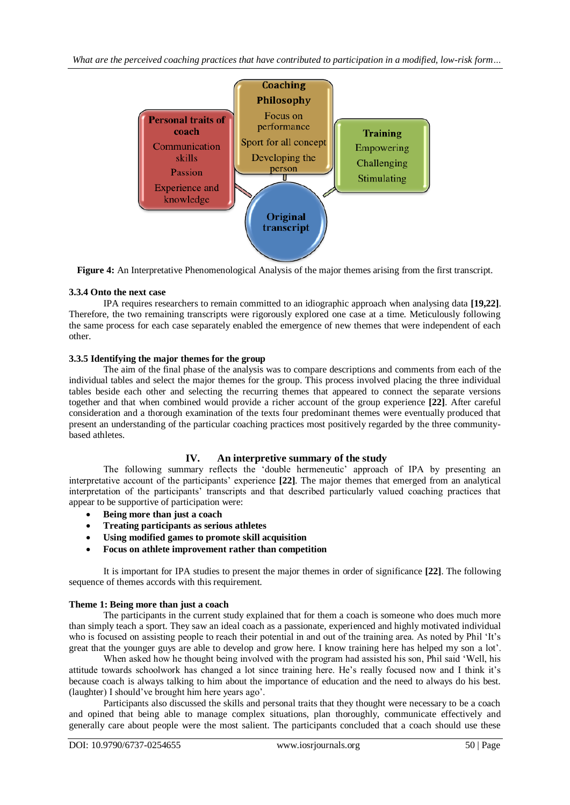

**Figure 4:** An Interpretative Phenomenological Analysis of the major themes arising from the first transcript.

# **3.3.4 Onto the next case**

IPA requires researchers to remain committed to an idiographic approach when analysing data **[19,22]**. Therefore, the two remaining transcripts were rigorously explored one case at a time. Meticulously following the same process for each case separately enabled the emergence of new themes that were independent of each other.

# **3.3.5 Identifying the major themes for the group**

The aim of the final phase of the analysis was to compare descriptions and comments from each of the individual tables and select the major themes for the group. This process involved placing the three individual tables beside each other and selecting the recurring themes that appeared to connect the separate versions together and that when combined would provide a richer account of the group experience **[22]**. After careful consideration and a thorough examination of the texts four predominant themes were eventually produced that present an understanding of the particular coaching practices most positively regarded by the three communitybased athletes.

# **IV. An interpretive summary of the study**

The following summary reflects the 'double hermeneutic' approach of IPA by presenting an interpretative account of the participants' experience **[22]**. The major themes that emerged from an analytical interpretation of the participants' transcripts and that described particularly valued coaching practices that appear to be supportive of participation were:

- **Being more than just a coach**
- **Treating participants as serious athletes**
- **Using modified games to promote skill acquisition**
- **Focus on athlete improvement rather than competition**

It is important for IPA studies to present the major themes in order of significance **[22]**. The following sequence of themes accords with this requirement.

# **Theme 1: Being more than just a coach**

The participants in the current study explained that for them a coach is someone who does much more than simply teach a sport. They saw an ideal coach as a passionate, experienced and highly motivated individual who is focused on assisting people to reach their potential in and out of the training area. As noted by Phil 'It's great that the younger guys are able to develop and grow here. I know training here has helped my son a lot'.

When asked how he thought being involved with the program had assisted his son, Phil said 'Well, his attitude towards schoolwork has changed a lot since training here. He's really focused now and I think it's because coach is always talking to him about the importance of education and the need to always do his best. (laughter) I should've brought him here years ago'.

 Participants also discussed the skills and personal traits that they thought were necessary to be a coach and opined that being able to manage complex situations, plan thoroughly, communicate effectively and generally care about people were the most salient. The participants concluded that a coach should use these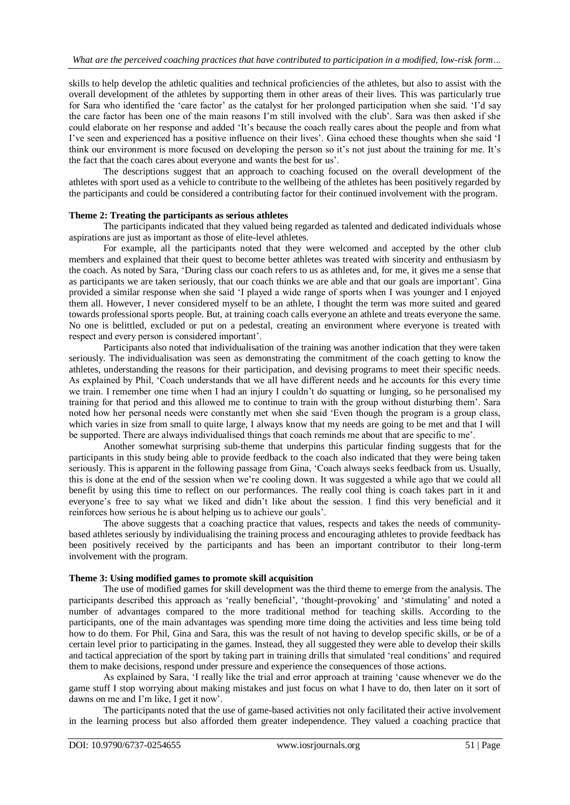skills to help develop the athletic qualities and technical proficiencies of the athletes, but also to assist with the overall development of the athletes by supporting them in other areas of their lives. This was particularly true for Sara who identified the 'care factor' as the catalyst for her prolonged participation when she said. 'I'd say the care factor has been one of the main reasons I'm still involved with the club'. Sara was then asked if she could elaborate on her response and added 'It's because the coach really cares about the people and from what I've seen and experienced has a positive influence on their lives'. Gina echoed these thoughts when she said 'I think our environment is more focused on developing the person so it's not just about the training for me. It's the fact that the coach cares about everyone and wants the best for us'.

 The descriptions suggest that an approach to coaching focused on the overall development of the athletes with sport used as a vehicle to contribute to the wellbeing of the athletes has been positively regarded by the participants and could be considered a contributing factor for their continued involvement with the program.

#### **Theme 2: Treating the participants as serious athletes**

The participants indicated that they valued being regarded as talented and dedicated individuals whose aspirations are just as important as those of elite-level athletes.

 For example, all the participants noted that they were welcomed and accepted by the other club members and explained that their quest to become better athletes was treated with sincerity and enthusiasm by the coach. As noted by Sara, 'During class our coach refers to us as athletes and, for me, it gives me a sense that as participants we are taken seriously, that our coach thinks we are able and that our goals are important'. Gina provided a similar response when she said 'I played a wide range of sports when I was younger and I enjoyed them all. However, I never considered myself to be an athlete, I thought the term was more suited and geared towards professional sports people. But, at training coach calls everyone an athlete and treats everyone the same. No one is belittled, excluded or put on a pedestal, creating an environment where everyone is treated with respect and every person is considered important'.

 Participants also noted that individualisation of the training was another indication that they were taken seriously. The individualisation was seen as demonstrating the commitment of the coach getting to know the athletes, understanding the reasons for their participation, and devising programs to meet their specific needs. As explained by Phil, 'Coach understands that we all have different needs and he accounts for this every time we train. I remember one time when I had an injury I couldn't do squatting or lunging, so he personalised my training for that period and this allowed me to continue to train with the group without disturbing them'. Sara noted how her personal needs were constantly met when she said 'Even though the program is a group class, which varies in size from small to quite large, I always know that my needs are going to be met and that I will be supported. There are always individualised things that coach reminds me about that are specific to me'.

 Another somewhat surprising sub-theme that underpins this particular finding suggests that for the participants in this study being able to provide feedback to the coach also indicated that they were being taken seriously. This is apparent in the following passage from Gina, 'Coach always seeks feedback from us. Usually, this is done at the end of the session when we're cooling down. It was suggested a while ago that we could all benefit by using this time to reflect on our performances. The really cool thing is coach takes part in it and everyone's free to say what we liked and didn't like about the session. I find this very beneficial and it reinforces how serious he is about helping us to achieve our goals'.

 The above suggests that a coaching practice that values, respects and takes the needs of communitybased athletes seriously by individualising the training process and encouraging athletes to provide feedback has been positively received by the participants and has been an important contributor to their long-term involvement with the program.

#### **Theme 3: Using modified games to promote skill acquisition**

The use of modified games for skill development was the third theme to emerge from the analysis. The participants described this approach as 'really beneficial', 'thought-provoking' and 'stimulating' and noted a number of advantages compared to the more traditional method for teaching skills. According to the participants, one of the main advantages was spending more time doing the activities and less time being told how to do them. For Phil, Gina and Sara, this was the result of not having to develop specific skills, or be of a certain level prior to participating in the games. Instead, they all suggested they were able to develop their skills and tactical appreciation of the sport by taking part in training drills that simulated 'real conditions' and required them to make decisions, respond under pressure and experience the consequences of those actions.

 As explained by Sara, 'I really like the trial and error approach at training 'cause whenever we do the game stuff I stop worrying about making mistakes and just focus on what I have to do, then later on it sort of dawns on me and I'm like, I get it now'.

 The participants noted that the use of game-based activities not only facilitated their active involvement in the learning process but also afforded them greater independence. They valued a coaching practice that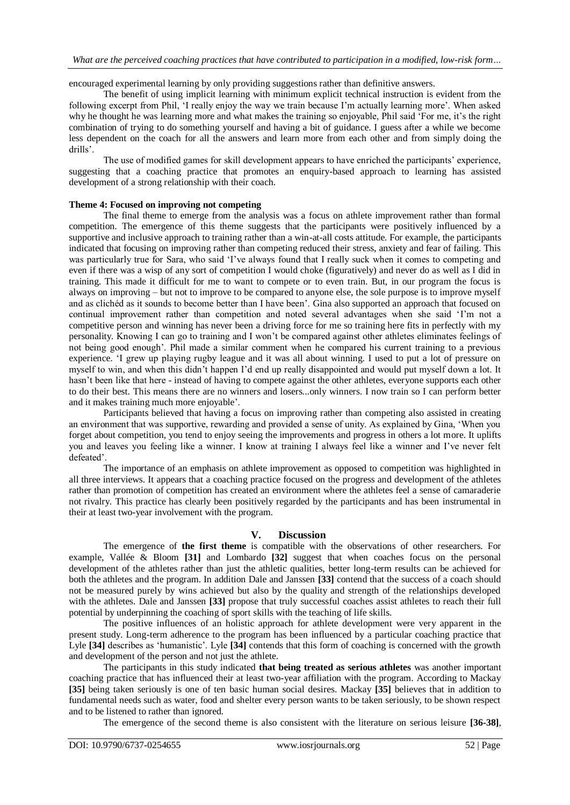encouraged experimental learning by only providing suggestions rather than definitive answers.

The benefit of using implicit learning with minimum explicit technical instruction is evident from the following excerpt from Phil, 'I really enjoy the way we train because I'm actually learning more'. When asked why he thought he was learning more and what makes the training so enjoyable, Phil said 'For me, it's the right combination of trying to do something yourself and having a bit of guidance. I guess after a while we become less dependent on the coach for all the answers and learn more from each other and from simply doing the drills'.

 The use of modified games for skill development appears to have enriched the participants' experience, suggesting that a coaching practice that promotes an enquiry-based approach to learning has assisted development of a strong relationship with their coach.

## **Theme 4: Focused on improving not competing**

The final theme to emerge from the analysis was a focus on athlete improvement rather than formal competition. The emergence of this theme suggests that the participants were positively influenced by a supportive and inclusive approach to training rather than a win-at-all costs attitude. For example, the participants indicated that focusing on improving rather than competing reduced their stress, anxiety and fear of failing. This was particularly true for Sara, who said 'I've always found that I really suck when it comes to competing and even if there was a wisp of any sort of competition I would choke (figuratively) and never do as well as I did in training. This made it difficult for me to want to compete or to even train. But, in our program the focus is always on improving – but not to improve to be compared to anyone else, the sole purpose is to improve myself and as clichéd as it sounds to become better than I have been'. Gina also supported an approach that focused on continual improvement rather than competition and noted several advantages when she said 'I'm not a competitive person and winning has never been a driving force for me so training here fits in perfectly with my personality. Knowing I can go to training and I won't be compared against other athletes eliminates feelings of not being good enough'. Phil made a similar comment when he compared his current training to a previous experience. 'I grew up playing rugby league and it was all about winning. I used to put a lot of pressure on myself to win, and when this didn't happen I'd end up really disappointed and would put myself down a lot. It hasn't been like that here - instead of having to compete against the other athletes, everyone supports each other to do their best. This means there are no winners and losers...only winners. I now train so I can perform better and it makes training much more enjoyable'.

 Participants believed that having a focus on improving rather than competing also assisted in creating an environment that was supportive, rewarding and provided a sense of unity. As explained by Gina, 'When you forget about competition, you tend to enjoy seeing the improvements and progress in others a lot more. It uplifts you and leaves you feeling like a winner. I know at training I always feel like a winner and I've never felt defeated'.

 The importance of an emphasis on athlete improvement as opposed to competition was highlighted in all three interviews. It appears that a coaching practice focused on the progress and development of the athletes rather than promotion of competition has created an environment where the athletes feel a sense of camaraderie not rivalry. This practice has clearly been positively regarded by the participants and has been instrumental in their at least two-year involvement with the program.

# **V. Discussion**

The emergence of **the first theme** is compatible with the observations of other researchers. For example, Vallée & Bloom **[31]** and Lombardo **[32]** suggest that when coaches focus on the personal development of the athletes rather than just the athletic qualities, better long-term results can be achieved for both the athletes and the program. In addition Dale and Janssen **[33]** contend that the success of a coach should not be measured purely by wins achieved but also by the quality and strength of the relationships developed with the athletes. Dale and Janssen **[33]** propose that truly successful coaches assist athletes to reach their full potential by underpinning the coaching of sport skills with the teaching of life skills.

 The positive influences of an holistic approach for athlete development were very apparent in the present study. Long-term adherence to the program has been influenced by a particular coaching practice that Lyle **[34]** describes as 'humanistic'. Lyle **[34]** contends that this form of coaching is concerned with the growth and development of the person and not just the athlete.

The participants in this study indicated **that being treated as serious athletes** was another important coaching practice that has influenced their at least two-year affiliation with the program. According to Mackay **[35]** being taken seriously is one of ten basic human social desires. Mackay **[35]** believes that in addition to fundamental needs such as water, food and shelter every person wants to be taken seriously, to be shown respect and to be listened to rather than ignored.

The emergence of the second theme is also consistent with the literature on serious leisure **[36-38]**,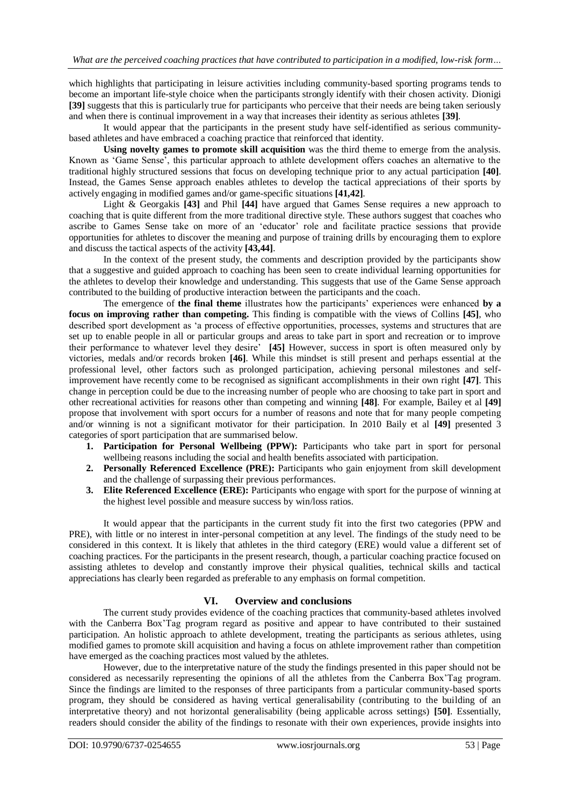which highlights that participating in leisure activities including community-based sporting programs tends to become an important life-style choice when the participants strongly identify with their chosen activity. Dionigi **[39]** suggests that this is particularly true for participants who perceive that their needs are being taken seriously and when there is continual improvement in a way that increases their identity as serious athletes **[39]**.

 It would appear that the participants in the present study have self-identified as serious communitybased athletes and have embraced a coaching practice that reinforced that identity.

 **Using novelty games to promote skill acquisition** was the third theme to emerge from the analysis. Known as 'Game Sense', this particular approach to athlete development offers coaches an alternative to the traditional highly structured sessions that focus on developing technique prior to any actual participation **[40]**. Instead, the Games Sense approach enables athletes to develop the tactical appreciations of their sports by actively engaging in modified games and/or game-specific situations **[41,42]**.

 Light & Georgakis **[43]** and Phil **[44]** have argued that Games Sense requires a new approach to coaching that is quite different from the more traditional directive style. These authors suggest that coaches who ascribe to Games Sense take on more of an 'educator' role and facilitate practice sessions that provide opportunities for athletes to discover the meaning and purpose of training drills by encouraging them to explore and discuss the tactical aspects of the activity **[43,44]**.

 In the context of the present study, the comments and description provided by the participants show that a suggestive and guided approach to coaching has been seen to create individual learning opportunities for the athletes to develop their knowledge and understanding. This suggests that use of the Game Sense approach contributed to the building of productive interaction between the participants and the coach.

 The emergence of **the final theme** illustrates how the participants' experiences were enhanced **by a focus on improving rather than competing.** This finding is compatible with the views of Collins **[45]**, who described sport development as 'a process of effective opportunities, processes, systems and structures that are set up to enable people in all or particular groups and areas to take part in sport and recreation or to improve their performance to whatever level they desire' **[45]** However, success in sport is often measured only by victories, medals and/or records broken **[46]**. While this mindset is still present and perhaps essential at the professional level, other factors such as prolonged participation, achieving personal milestones and selfimprovement have recently come to be recognised as significant accomplishments in their own right **[47]**. This change in perception could be due to the increasing number of people who are choosing to take part in sport and other recreational activities for reasons other than competing and winning **[48]**. For example, Bailey et al **[49]** propose that involvement with sport occurs for a number of reasons and note that for many people competing and/or winning is not a significant motivator for their participation. In 2010 Baily et al **[49]** presented 3 categories of sport participation that are summarised below.

- **1. Participation for Personal Wellbeing (PPW):** Participants who take part in sport for personal wellbeing reasons including the social and health benefits associated with participation.
- **2. Personally Referenced Excellence (PRE):** Participants who gain enjoyment from skill development and the challenge of surpassing their previous performances.
- **3. Elite Referenced Excellence (ERE):** Participants who engage with sport for the purpose of winning at the highest level possible and measure success by win/loss ratios.

It would appear that the participants in the current study fit into the first two categories (PPW and PRE), with little or no interest in inter-personal competition at any level. The findings of the study need to be considered in this context. It is likely that athletes in the third category (ERE) would value a different set of coaching practices. For the participants in the present research, though, a particular coaching practice focused on assisting athletes to develop and constantly improve their physical qualities, technical skills and tactical appreciations has clearly been regarded as preferable to any emphasis on formal competition.

#### **VI. Overview and conclusions**

The current study provides evidence of the coaching practices that community-based athletes involved with the Canberra Box'Tag program regard as positive and appear to have contributed to their sustained participation. An holistic approach to athlete development, treating the participants as serious athletes, using modified games to promote skill acquisition and having a focus on athlete improvement rather than competition have emerged as the coaching practices most valued by the athletes.

 However, due to the interpretative nature of the study the findings presented in this paper should not be considered as necessarily representing the opinions of all the athletes from the Canberra Box'Tag program. Since the findings are limited to the responses of three participants from a particular community-based sports program, they should be considered as having vertical generalisability (contributing to the building of an interpretative theory) and not horizontal generalisability (being applicable across settings) **[50]**. Essentially, readers should consider the ability of the findings to resonate with their own experiences, provide insights into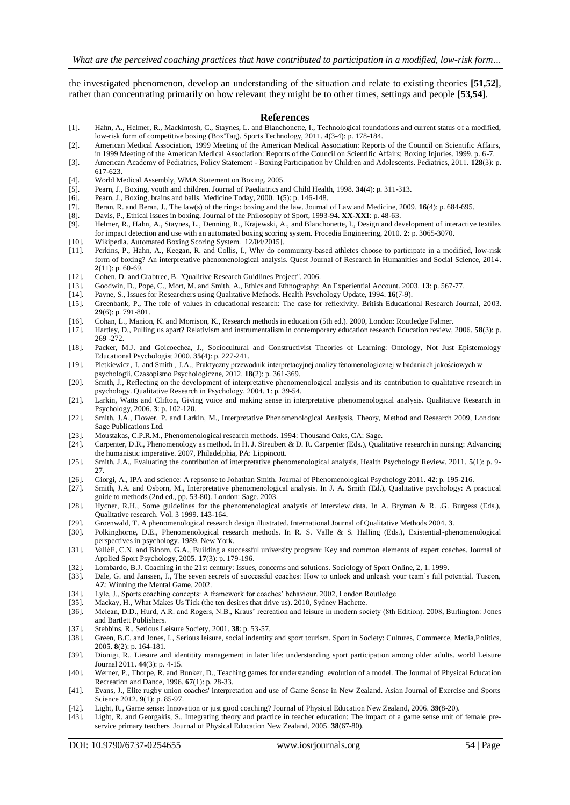the investigated phenomenon, develop an understanding of the situation and relate to existing theories **[51,52]**, rather than concentrating primarily on how relevant they might be to other times, settings and people **[53,54]**.

#### **References**

- [1]. Hahn, A., Helmer, R., Mackintosh, C., Staynes, L. and Blanchonette, I., Technological foundations and current status of a modified, low-risk form of competitive boxing (Box'Tag). Sports Technology, 2011. **4**(3-4): p. 178-184.
- [2]. American Medical Association, 1999 Meeting of the American Medical Association: Reports of the Council on Scientific Affairs, in 1999 Meeting of the American Medical Association: Reports of the Council on Scientific Affairs; Boxing Injuries. 1999. p. 6-7.
- [3]. American Academy of Pediatrics, Policy Statement Boxing Participation by Children and Adolescents. Pediatrics, 2011. **128**(3): p. 617-623.
- [4]. World Medical Assembly, WMA Statement on Boxing. 2005.
- [5]. Pearn, J., Boxing, youth and children. Journal of Paediatrics and Child Health, 1998. **34**(4): p. 311-313.
- [6]. Pearn, J., Boxing, brains and balls. Medicine Today, 2000. **1**(5): p. 146-148.
- [7]. Beran, R. and Beran, J., The law(s) of the rings: boxing and the law. Journal of Law and Medicine, 2009. **16**(4): p. 684-695.
- [8]. Davis, P., Ethical issues in boxing. Journal of the Philosophy of Sport, 1993-94. **XX-XXI**: p. 48-63.
- [9]. Helmer, R., Hahn, A., Staynes, L., Denning, R., Krajewski, A., and Blanchonette, I., Design and development of interactive textiles for impact detection and use with an automated boxing scoring system. Procedia Engineering, 2010. **2**: p. 3065-3070.
- [10]. Wikipedia. Automated Boxing Scoring System. 12/04/2015].
- [11]. Perkins, P., Hahn, A., Keegan, R. and Collis, I., Why do community-based athletes choose to participate in a modified, low-risk form of boxing? An interpretative phenomenological analysis. Quest Journal of Research in Humanities and Social Science, 2014. **2**(11): p. 60-69.
- 
- [12]. Cohen, D. and Crabtree, B. "Qualitive Research Guidlines Project". 2006.<br>[13]. Goodwin, D., Pope, C., Mort, M. and Smith, A., Ethics and Ethnography: [13]. Goodwin, D., Pope, C., Mort, M. and Smith, A., Ethics and Ethnography: An Experiential Account. 2003. **13**: p. 567-77.
- [14]. Payne, S., Issues for Researchers using Qualitative Methods. Health Psychology Update, 1994. **16**(7-9).
- [15]. Greenbank, P., The role of values in educational research: The case for reflexivity. British Educational Research Journal, 2003. **29**(6): p. 791-801.
- [16]. Cohan, L., Manion, K. and Morrison, K., Research methods in education (5th ed.). 2000, London: Routledge Falmer.
- [17]. Hartley, D., Pulling us apart? Relativism and instrumentalism in contemporary education research Education review, 2006. **58**(3): p. 269 -272.
- [18]. Packer, M.J. and Goicoechea, J., Sociocultural and Constructivist Theories of Learning: Ontology, Not Just Epistemology Educational Psychologist 2000. **35**(4): p. 227-241.
- [19]. Pietkiewicz , I. and Smith , J.A., Praktyczny przewodnik interpretacyjnej analizy fenomenologicznej w badaniach jakościowych w psychologii. Czasopismo Psychologiczne, 2012. **18**(2): p. 361-369.
- [20]. Smith, J., Reflecting on the development of interpretative phenomenological analysis and its contribution to qualitative research in psychology. Qualitative Research in Psychology, 2004. **1**: p. 39-54.
- [21]. Larkin, Watts and Clifton, Giving voice and making sense in interpretative phenomenological analysis. Qualitative Research in Psychology, 2006. **3**: p. 102-120.
- [22]. Smith, J.A., Flower, P. and Larkin, M., Interpretative Phenomenological Analysis, Theory, Method and Research 2009, London: Sage Publications Ltd.
- [23]. Moustakas, C.P.R.M., Phenomenological research methods. 1994: Thousand Oaks, CA: Sage.
- [24]. Carpenter, D.R., Phenomenology as method. In H. J. Streubert & D. R. Carpenter (Eds.), Qualitative research in nursing: Advancing the humanistic imperative. 2007, Philadelphia, PA: Lippincott.
- [25]. Smith, J.A., Evaluating the contribution of interpretative phenomenological analysis, Health Psychology Review. 2011. **5**(1): p. 9-  $27.$
- [26]. Giorgi, A., IPA and science: A repsonse to Johathan Smith. Journal of Phenomenological Psychology 2011. **42**: p. 195-216.
- [27]. Smith, J.A. and Osborn, M., Interpretative phenomenological analysis. In J. A. Smith (Ed.), Qualitative psychology: A practical guide to methods (2nd ed., pp. 53-80). London: Sage. 2003.
- [28]. Hycner, R.H., Some guidelines for the phenomenological analysis of interview data. In A. Bryman & R. .G. Burgess (Eds.), Qualitative research. Vol. 3 1999. 143-164.
- [29]. Groenwald, T. A phenomenological research design illustrated. International Journal of Qualitative Methods 2004. **3**.
- [30]. Polkinghorne, D.E., Phenomenological research methods. In R. S. Valle & S. Halling (Eds.), Existential-phenomenological perspectives in psychology. 1989, New York.
- [31]. ValléE, C.N. and Bloom, G.A., Building a successful university program: Key and common elements of expert coaches. Journal of Applied Sport Psychology, 2005. **17**(3): p. 179-196.
- [32]. Lombardo, B.J. Coaching in the 21st century: Issues, concerns and solutions. Sociology of Sport Online, 2, 1. 1999.
- [33]. Dale, G. and Janssen, J., The seven secrets of successful coaches: How to unlock and unleash your team's full potential. Tuscon, AZ: Winning the Mental Game. 2002.
- [34]. Lyle, J., Sports coaching concepts: A framework for coaches' behaviour. 2002, London Routledge
- [35]. Mackay, H., What Makes Us Tick (the ten desires that drive us). 2010, Sydney Hachette.
- [36]. Mclean, D.D., Hurd, A.R. and Rogers, N.B., Kraus' recreation and leisure in modern society (8th Edition). 2008, Burlington: J ones and Bartlett Publishers.
- [37]. Stebbins, R., Serious Leisure Society, 2001. **38**: p. 53-57.
- [38]. Green, B.C. and Jones, I., Serious leisure, social indentity and sport tourism. Sport in Society: Cultures, Commerce, Media,Politics, 2005. **8**(2): p. 164-181.
- [39]. Dionigi, R., Liesure and identitity management in later life: understanding sport participation among older adults. world Leisure Journal 2011. **44**(3): p. 4-15.
- [40]. Werner, P., Thorpe, R. and Bunker, D., Teaching games for understanding: evolution of a model. The Journal of Physical Education Recreation and Dance, 1996. **67**(1): p. 28-33.
- [41]. Evans, J., Elite rugby union coaches' interpretation and use of Game Sense in New Zealand. Asian Journal of Exercise and Sports Science 2012. **9**(1): p. 85-97.
- [42]. Light, R., Game sense: Innovation or just good coaching? Journal of Physical Education New Zealand, 2006. **39**(8-20).
- [43]. Light, R. and Georgakis, S., Integrating theory and practice in teacher education: The impact of a game sense unit of female preservice primary teachers Journal of Physical Education New Zealand, 2005. **38**(67-80).